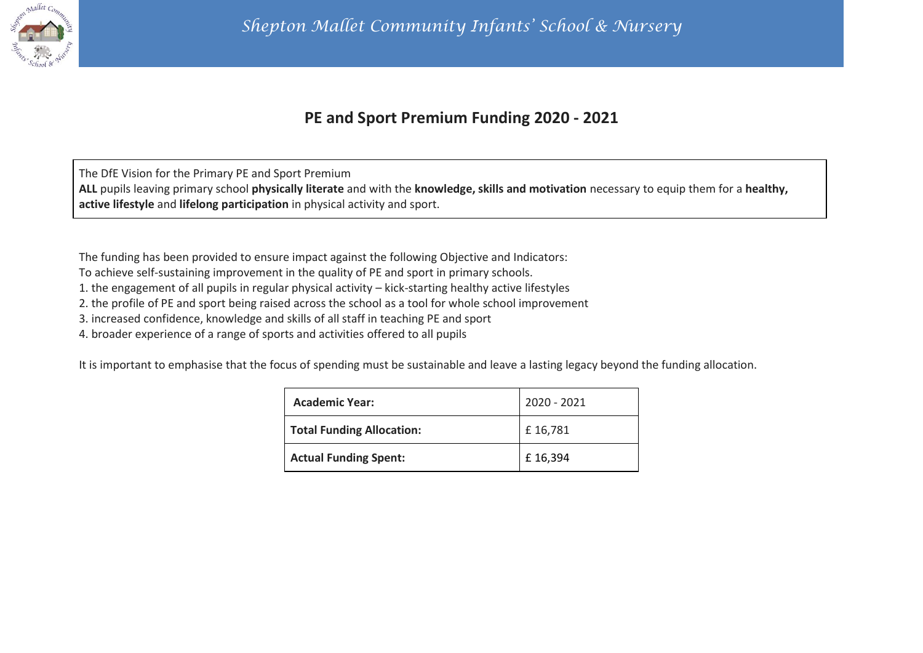

## **PE and Sport Premium Funding 2020 - 2021**

The DfE Vision for the Primary PE and Sport Premium **ALL** pupils leaving primary school **physically literate** and with the **knowledge, skills and motivation** necessary to equip them for a **healthy, active lifestyle** and **lifelong participation** in physical activity and sport.

The funding has been provided to ensure impact against the following Objective and Indicators:

To achieve self-sustaining improvement in the quality of PE and sport in primary schools.

1. the engagement of all pupils in regular physical activity – kick-starting healthy active lifestyles

2. the profile of PE and sport being raised across the school as a tool for whole school improvement

3. increased confidence, knowledge and skills of all staff in teaching PE and sport

4. broader experience of a range of sports and activities offered to all pupils

It is important to emphasise that the focus of spending must be sustainable and leave a lasting legacy beyond the funding allocation.

| <b>Academic Year:</b>            | 2020 - 2021 |
|----------------------------------|-------------|
| <b>Total Funding Allocation:</b> | £16,781     |
| <b>Actual Funding Spent:</b>     | £16,394     |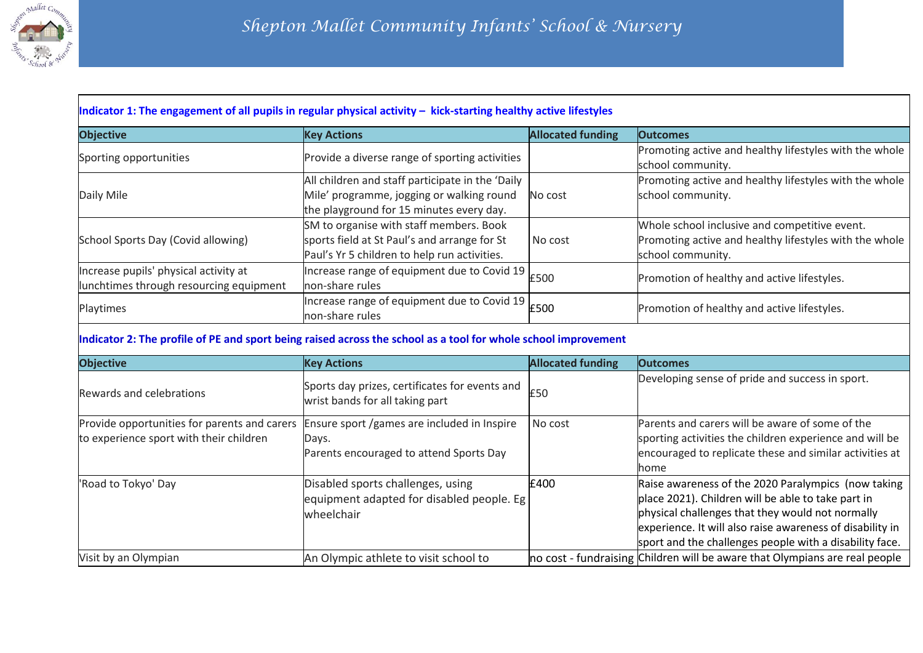

| <b>Objective</b>                        | <b>Key Actions</b>                                                  | <b>Allocated funding</b> | <b>Outcomes</b>                                                             |
|-----------------------------------------|---------------------------------------------------------------------|--------------------------|-----------------------------------------------------------------------------|
| Sporting opportunities                  | Provide a diverse range of sporting activities                      |                          | Promoting active and healthy lifestyles with the whole<br>school community. |
|                                         | All children and staff participate in the 'Daily                    |                          | Promoting active and healthy lifestyles with the whole                      |
| Daily Mile                              | Mile' programme, jogging or walking round                           | No cost                  | school community.                                                           |
|                                         | the playground for 15 minutes every day.                            |                          |                                                                             |
|                                         | SM to organise with staff members. Book                             |                          | Whole school inclusive and competitive event.                               |
| School Sports Day (Covid allowing)      | sports field at St Paul's and arrange for St                        | No cost                  | Promoting active and healthy lifestyles with the whole                      |
|                                         | Paul's Yr 5 children to help run activities.                        |                          | school community.                                                           |
| Increase pupils' physical activity at   | Increase range of equipment due to Covid 19 E500                    |                          | Promotion of healthy and active lifestyles.                                 |
| lunchtimes through resourcing equipment | non-share rules                                                     |                          |                                                                             |
| Playtimes                               | Increase range of equipment due to Covid 19 E500<br>non-share rules |                          | Promotion of healthy and active lifestyles.                                 |

| <b>Objective</b>                                                                        | <b>Key Actions</b>                                                                              | <b>Allocated funding</b> | <b>Outcomes</b>                                                                                                                                                                                                                                                                       |
|-----------------------------------------------------------------------------------------|-------------------------------------------------------------------------------------------------|--------------------------|---------------------------------------------------------------------------------------------------------------------------------------------------------------------------------------------------------------------------------------------------------------------------------------|
| Rewards and celebrations                                                                | Sports day prizes, certificates for events and<br>wrist bands for all taking part               | £50                      | Developing sense of pride and success in sport.                                                                                                                                                                                                                                       |
| Provide opportunities for parents and carers<br>to experience sport with their children | Ensure sport /games are included in Inspire<br>Days.<br>Parents encouraged to attend Sports Day | No cost                  | Parents and carers will be aware of some of the<br>sporting activities the children experience and will be<br>encouraged to replicate these and similar activities at<br>home                                                                                                         |
| 'Road to Tokyo' Day                                                                     | Disabled sports challenges, using<br>equipment adapted for disabled people. Eg<br>wheelchair    | £400                     | Raise awareness of the 2020 Paralympics (now taking<br>place 2021). Children will be able to take part in<br>physical challenges that they would not normally<br>experience. It will also raise awareness of disability in<br>sport and the challenges people with a disability face. |
| Visit by an Olympian                                                                    | An Olympic athlete to visit school to                                                           |                          | no cost - fundraising Children will be aware that Olympians are real people                                                                                                                                                                                                           |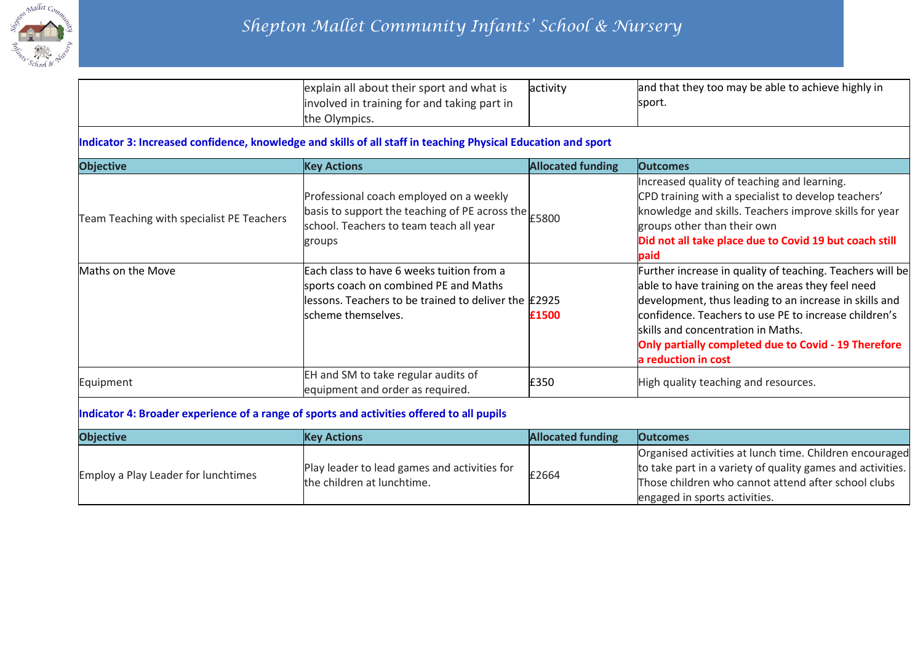

|                                                                                           | explain all about their sport and what is<br>involved in training for and taking part in<br>the Olympics.                                                        | activity                 | and that they too may be able to achieve highly in<br>sport.                                                                                                                                                                                                                                                                                           |
|-------------------------------------------------------------------------------------------|------------------------------------------------------------------------------------------------------------------------------------------------------------------|--------------------------|--------------------------------------------------------------------------------------------------------------------------------------------------------------------------------------------------------------------------------------------------------------------------------------------------------------------------------------------------------|
|                                                                                           | Indicator 3: Increased confidence, knowledge and skills of all staff in teaching Physical Education and sport                                                    |                          |                                                                                                                                                                                                                                                                                                                                                        |
| <b>Objective</b>                                                                          | <b>Key Actions</b>                                                                                                                                               | <b>Allocated funding</b> | <b>Outcomes</b>                                                                                                                                                                                                                                                                                                                                        |
| Team Teaching with specialist PE Teachers                                                 | Professional coach employed on a weekly<br>basis to support the teaching of PE across the<br>school. Teachers to team teach all year<br>groups                   | £5800                    | Increased quality of teaching and learning.<br>CPD training with a specialist to develop teachers'<br>knowledge and skills. Teachers improve skills for year<br>groups other than their own<br>Did not all take place due to Covid 19 but coach still<br>paid                                                                                          |
| Maths on the Move                                                                         | Each class to have 6 weeks tuition from a<br>sports coach on combined PE and Maths<br>lessons. Teachers to be trained to deliver the E2925<br>scheme themselves. | £1500                    | Further increase in quality of teaching. Teachers will be<br>able to have training on the areas they feel need<br>development, thus leading to an increase in skills and<br>confidence. Teachers to use PE to increase children's<br>skills and concentration in Maths.<br>Only partially completed due to Covid - 19 Therefore<br>a reduction in cost |
| Equipment                                                                                 | EH and SM to take regular audits of<br>equipment and order as required.                                                                                          | £350                     | High quality teaching and resources.                                                                                                                                                                                                                                                                                                                   |
| Indicator 4: Broader experience of a range of sports and activities offered to all pupils |                                                                                                                                                                  |                          |                                                                                                                                                                                                                                                                                                                                                        |
| <b>Objective</b>                                                                          | <b>Key Actions</b>                                                                                                                                               | <b>Allocated funding</b> | <b>Outcomes</b>                                                                                                                                                                                                                                                                                                                                        |
| <b>Employ a Play Leader for lunchtimes</b>                                                | Play leader to lead games and activities for<br>the children at lunchtime.                                                                                       | £2664                    | Organised activities at lunch time. Children encouraged<br>to take part in a variety of quality games and activities.<br>Those children who cannot attend after school clubs<br>engaged in sports activities.                                                                                                                                          |